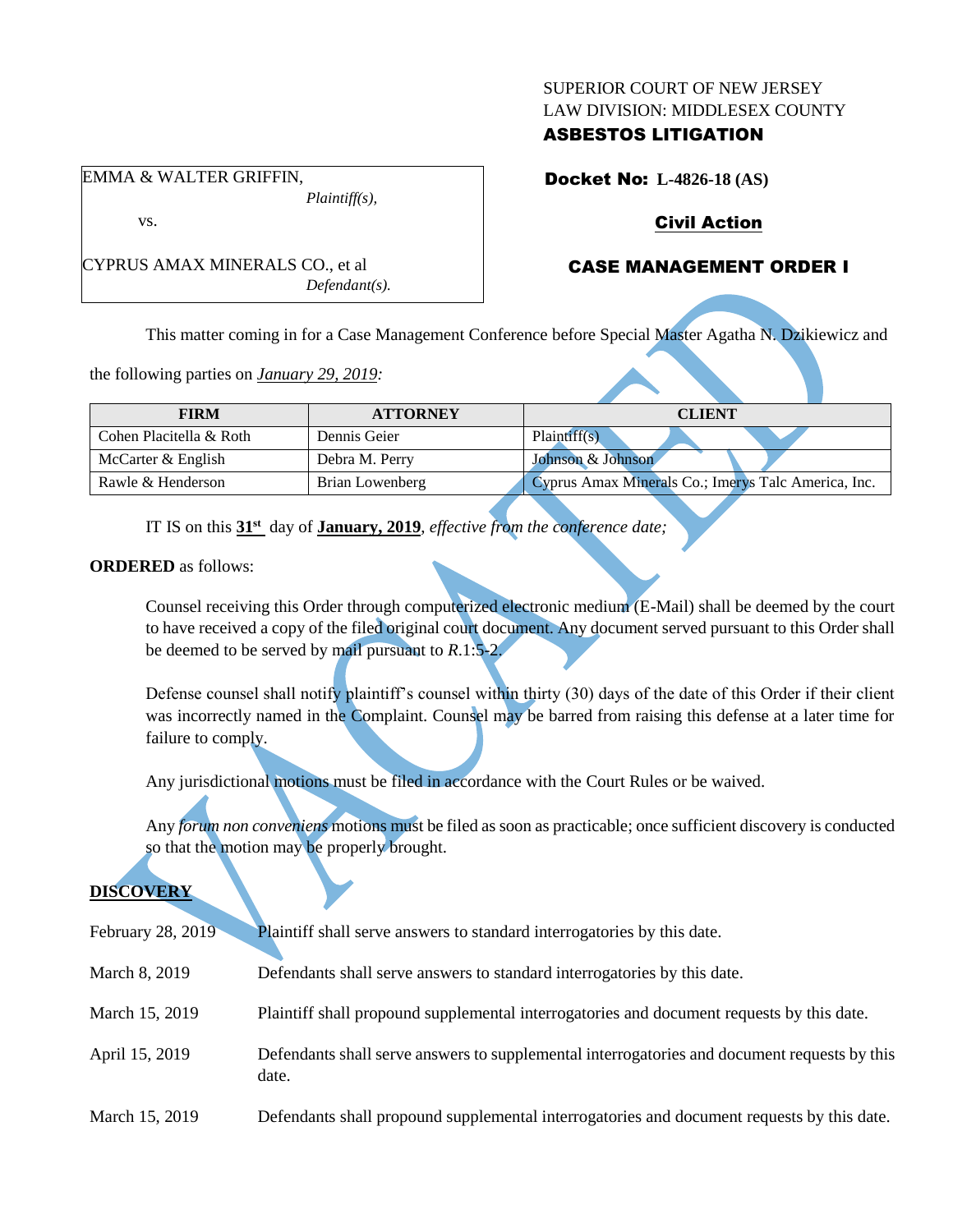#### SUPERIOR COURT OF NEW JERSEY LAW DIVISION: MIDDLESEX COUNTY

## ASBESTOS LITIGATION

Docket No: **L-4826-18 (AS)**

# Civil Action

## CASE MANAGEMENT ORDER I

This matter coming in for a Case Management Conference before Special Master Agatha N. Dzikiewicz and

the following parties on *January 29, 2019:*

CYPRUS AMAX MINERALS CO., et al

| <b>FIRM</b>             | <b>ATTORNEY</b> | <b>CLIENT</b>                                       |
|-------------------------|-----------------|-----------------------------------------------------|
| Cohen Placitella & Roth | Dennis Geier    | Plaintiff(s)                                        |
| McCarter & English      | Debra M. Perry  | Johnson & Johnson                                   |
| Rawle & Henderson       | Brian Lowenberg | Cyprus Amax Minerals Co.; Imerys Talc America, Inc. |

IT IS on this **31st** day of **January, 2019**, *effective from the conference date;*

*Defendant(s).*

**ORDERED** as follows:

Counsel receiving this Order through computerized electronic medium (E-Mail) shall be deemed by the court to have received a copy of the filed original court document. Any document served pursuant to this Order shall be deemed to be served by mail pursuant to *R*.1:5-2.

Defense counsel shall notify plaintiff's counsel within thirty (30) days of the date of this Order if their client was incorrectly named in the Complaint. Counsel may be barred from raising this defense at a later time for failure to comply.

Any jurisdictional motions must be filed in accordance with the Court Rules or be waived.

Any *forum non conveniens* motions must be filed as soon as practicable; once sufficient discovery is conducted so that the motion may be properly brought.

# **DISCOVERY**

| February 28, 2019 | <b>Plaintiff</b> shall serve answers to standard interrogatories by this date.                        |
|-------------------|-------------------------------------------------------------------------------------------------------|
| March 8, 2019     | Defendants shall serve answers to standard interrogatories by this date.                              |
| March 15, 2019    | Plaintiff shall propound supplemental interrogatories and document requests by this date.             |
| April 15, 2019    | Defendants shall serve answers to supplemental interrogatories and document requests by this<br>date. |
| March 15, 2019    | Defendants shall propound supplemental interrogatories and document requests by this date.            |

#### EMMA & WALTER GRIFFIN, *Plaintiff(s),*

vs.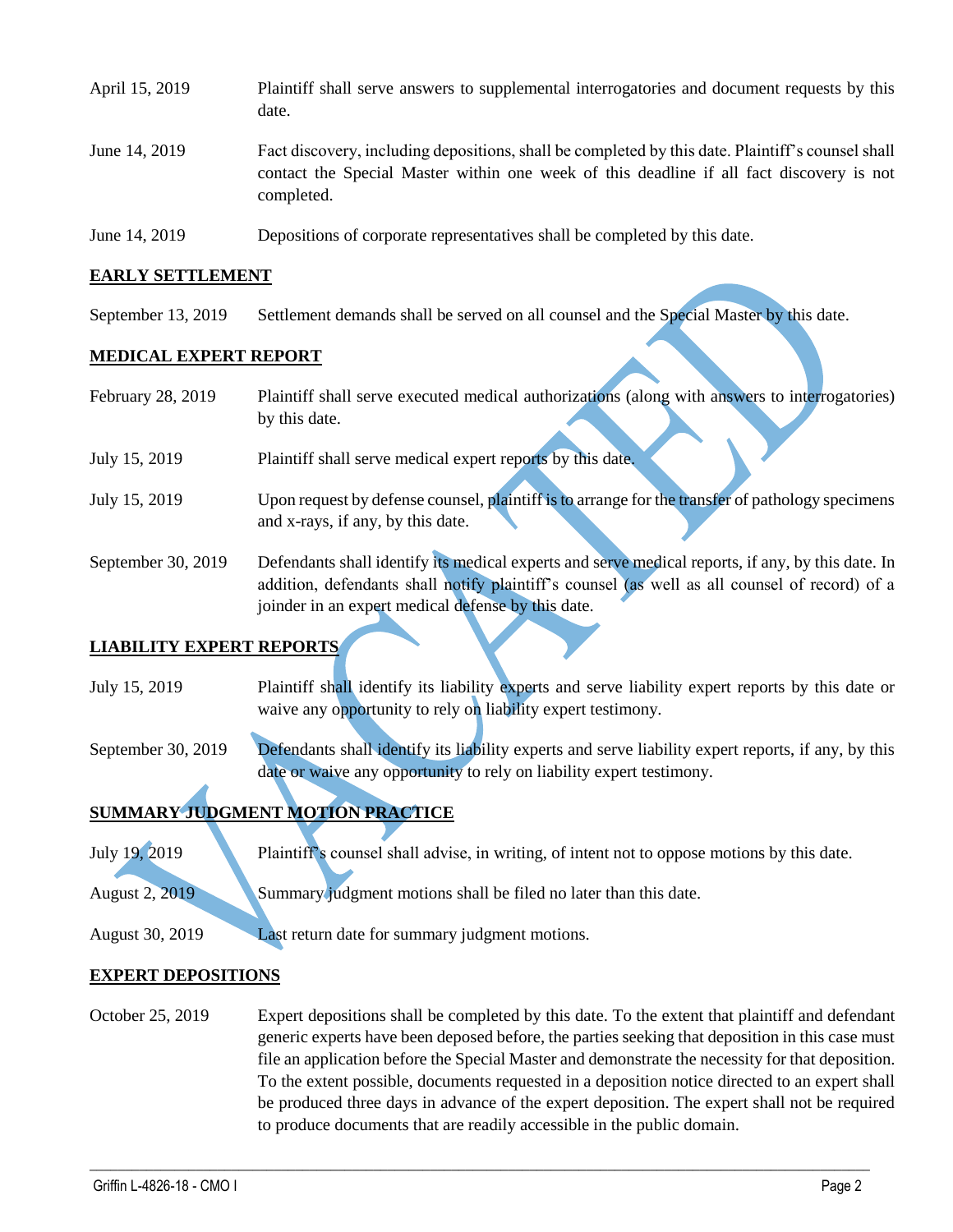| April 15, 2019 | Plaintiff shall serve answers to supplemental interrogatories and document requests by this<br>date.                                                                                                        |
|----------------|-------------------------------------------------------------------------------------------------------------------------------------------------------------------------------------------------------------|
| June 14, 2019  | Fact discovery, including depositions, shall be completed by this date. Plaintiff's counsel shall<br>contact the Special Master within one week of this deadline if all fact discovery is not<br>completed. |
| June 14, 2019  | Depositions of corporate representatives shall be completed by this date.                                                                                                                                   |

## **EARLY SETTLEMENT**

September 13, 2019 Settlement demands shall be served on all counsel and the Special Master by this date.

## **MEDICAL EXPERT REPORT**

| February 28, 2019  | Plaintiff shall serve executed medical authorizations (along with answers to interrogatories)                                                                                                                                                            |
|--------------------|----------------------------------------------------------------------------------------------------------------------------------------------------------------------------------------------------------------------------------------------------------|
|                    | by this date.                                                                                                                                                                                                                                            |
| July 15, 2019      | Plaintiff shall serve medical expert reports by this date.                                                                                                                                                                                               |
| July 15, 2019      | Upon request by defense counsel, plaintiff is to arrange for the transfer of pathology specimens<br>and x-rays, if any, by this date.                                                                                                                    |
| September 30, 2019 | Defendants shall identify its medical experts and serve medical reports, if any, by this date. In<br>addition, defendants shall notify plaintiff's counsel (as well as all counsel of record) of a<br>joinder in an expert medical defense by this date. |

## **LIABILITY EXPERT REPORTS**

July 15, 2019 Plaintiff shall identify its liability experts and serve liability expert reports by this date or waive any opportunity to rely on liability expert testimony.

September 30, 2019 Defendants shall identify its liability experts and serve liability expert reports, if any, by this date or waive any opportunity to rely on liability expert testimony.

# **SUMMARY JUDGMENT MOTION PRACTICE**

July 19, 2019 Plaintiff's counsel shall advise, in writing, of intent not to oppose motions by this date. August 2, 2019 Summary judgment motions shall be filed no later than this date.

August 30, 2019 Last return date for summary judgment motions.

#### **EXPERT DEPOSITIONS**

October 25, 2019 Expert depositions shall be completed by this date. To the extent that plaintiff and defendant generic experts have been deposed before, the parties seeking that deposition in this case must file an application before the Special Master and demonstrate the necessity for that deposition. To the extent possible, documents requested in a deposition notice directed to an expert shall be produced three days in advance of the expert deposition. The expert shall not be required to produce documents that are readily accessible in the public domain.

 $\_$  ,  $\_$  ,  $\_$  ,  $\_$  ,  $\_$  ,  $\_$  ,  $\_$  ,  $\_$  ,  $\_$  ,  $\_$  ,  $\_$  ,  $\_$  ,  $\_$  ,  $\_$  ,  $\_$  ,  $\_$  ,  $\_$  ,  $\_$  ,  $\_$  ,  $\_$  ,  $\_$  ,  $\_$  ,  $\_$  ,  $\_$  ,  $\_$  ,  $\_$  ,  $\_$  ,  $\_$  ,  $\_$  ,  $\_$  ,  $\_$  ,  $\_$  ,  $\_$  ,  $\_$  ,  $\_$  ,  $\_$  ,  $\_$  ,